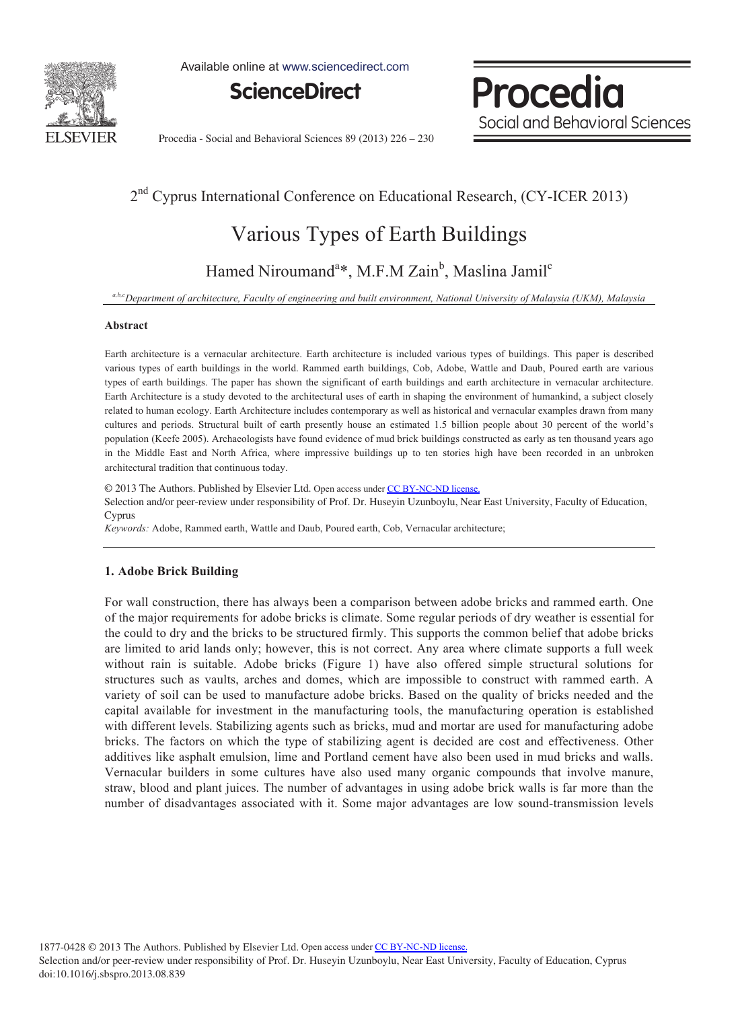

Available online at www.sciencedirect.com

**ScienceDirect**

Procedia Social and Behavioral Sciences

Procedia - Social and Behavioral Sciences 89 (2013) 226 – 230

### 2<sup>nd</sup> Cyprus International Conference on Educational Research, (CY-ICER 2013)

# Various Types of Earth Buildings

Hamed Niroumand<sup>a\*</sup>, M.F.M Zain<sup>b</sup>, Maslina Jamil<sup>c</sup>

*a,b,cDepartment of architecture, Faculty of engineering and built environment, National University of Malaysia (UKM), Malaysia* 

#### **Abstract**

Earth architecture is a vernacular architecture. Earth architecture is included various types of buildings. This paper is described various types of earth buildings in the world. Rammed earth buildings, Cob, Adobe, Wattle and Daub, Poured earth are various types of earth buildings. The paper has shown the significant of earth buildings and earth architecture in vernacular architecture. Earth Architecture is a study devoted to the architectural uses of earth in shaping the environment of humankind, a subject closely related to human ecology. Earth Architecture includes contemporary as well as historical and vernacular examples drawn from many cultures and periods. Structural built of earth presently house an estimated 1.5 billion people about 30 percent of the world's population (Keefe 2005). Archaeologists have found evidence of mud brick buildings constructed as early as ten thousand years ago in the Middle East and North Africa, where impressive buildings up to ten stories high have been recorded in an unbroken architectural tradition that continuous today.

© 2013 Published by Elsevier Ltd. © 2013 The Authors. Published by Elsevier Ltd. Open access under [CC BY-NC-ND license.](http://creativecommons.org/licenses/by-nc-nd/3.0/)

Selection and/or peer-review under responsibility of Prof. Dr. Huseyin Uzunboylu, Near East University, Faculty of Education, Cyprus Cyprus

*Keywords:* Adobe, Rammed earth, Wattle and Daub, Poured earth, Cob, Vernacular architecture;

#### **1. Adobe Brick Building**

For wall construction, there has always been a comparison between adobe bricks and rammed earth. One of the major requirements for adobe bricks is climate. Some regular periods of dry weather is essential for the could to dry and the bricks to be structured firmly. This supports the common belief that adobe bricks are limited to arid lands only; however, this is not correct. Any area where climate supports a full week without rain is suitable. Adobe bricks (Figure 1) have also offered simple structural solutions for structures such as vaults, arches and domes, which are impossible to construct with rammed earth. A variety of soil can be used to manufacture adobe bricks. Based on the quality of bricks needed and the capital available for investment in the manufacturing tools, the manufacturing operation is established with different levels. Stabilizing agents such as bricks, mud and mortar are used for manufacturing adobe bricks. The factors on which the type of stabilizing agent is decided are cost and effectiveness. Other additives like asphalt emulsion, lime and Portland cement have also been used in mud bricks and walls. Vernacular builders in some cultures have also used many organic compounds that involve manure, straw, blood and plant juices. The number of advantages in using adobe brick walls is far more than the number of disadvantages associated with it. Some major advantages are low sound-transmission levels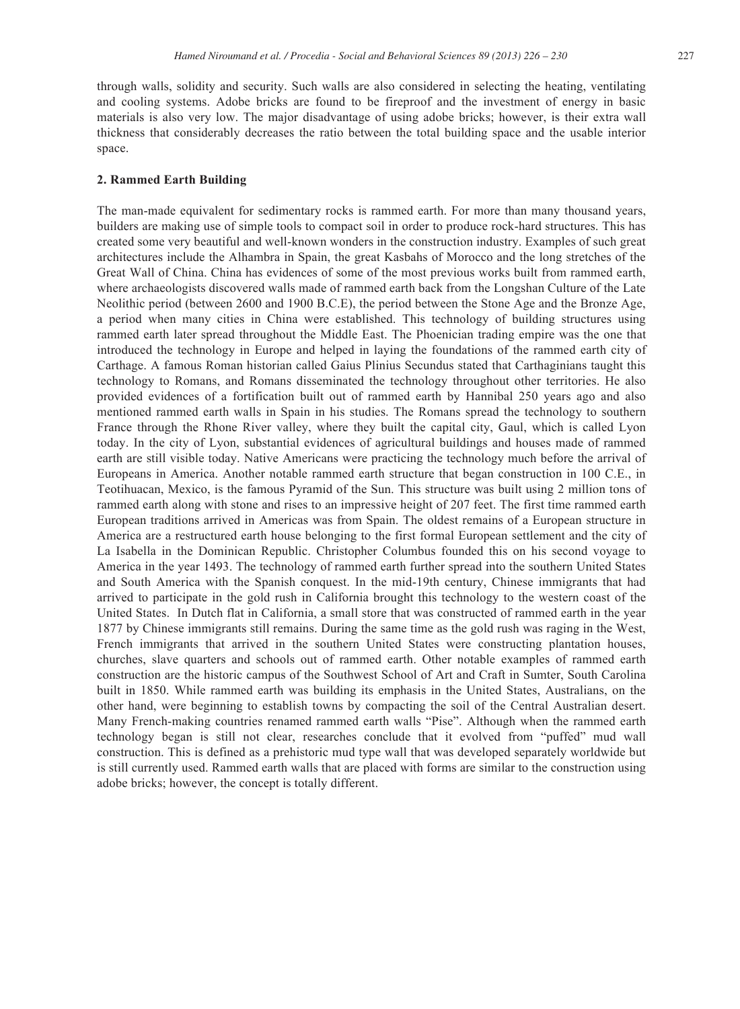through walls, solidity and security. Such walls are also considered in selecting the heating, ventilating and cooling systems. Adobe bricks are found to be fireproof and the investment of energy in basic materials is also very low. The major disadvantage of using adobe bricks; however, is their extra wall thickness that considerably decreases the ratio between the total building space and the usable interior space.

### **2. Rammed Earth Building**

The man-made equivalent for sedimentary rocks is rammed earth. For more than many thousand years, builders are making use of simple tools to compact soil in order to produce rock-hard structures. This has created some very beautiful and well-known wonders in the construction industry. Examples of such great architectures include the Alhambra in Spain, the great Kasbahs of Morocco and the long stretches of the Great Wall of China. China has evidences of some of the most previous works built from rammed earth, where archaeologists discovered walls made of rammed earth back from the Longshan Culture of the Late Neolithic period (between 2600 and 1900 B.C.E), the period between the Stone Age and the Bronze Age, a period when many cities in China were established. This technology of building structures using rammed earth later spread throughout the Middle East. The Phoenician trading empire was the one that introduced the technology in Europe and helped in laying the foundations of the rammed earth city of Carthage. A famous Roman historian called Gaius Plinius Secundus stated that Carthaginians taught this technology to Romans, and Romans disseminated the technology throughout other territories. He also provided evidences of a fortification built out of rammed earth by Hannibal 250 years ago and also mentioned rammed earth walls in Spain in his studies. The Romans spread the technology to southern France through the Rhone River valley, where they built the capital city, Gaul, which is called Lyon today. In the city of Lyon, substantial evidences of agricultural buildings and houses made of rammed earth are still visible today. Native Americans were practicing the technology much before the arrival of Europeans in America. Another notable rammed earth structure that began construction in 100 C.E., in Teotihuacan, Mexico, is the famous Pyramid of the Sun. This structure was built using 2 million tons of rammed earth along with stone and rises to an impressive height of 207 feet. The first time rammed earth European traditions arrived in Americas was from Spain. The oldest remains of a European structure in America are a restructured earth house belonging to the first formal European settlement and the city of La Isabella in the Dominican Republic. Christopher Columbus founded this on his second voyage to America in the year 1493. The technology of rammed earth further spread into the southern United States and South America with the Spanish conquest. In the mid-19th century, Chinese immigrants that had arrived to participate in the gold rush in California brought this technology to the western coast of the United States. In Dutch flat in California, a small store that was constructed of rammed earth in the year 1877 by Chinese immigrants still remains. During the same time as the gold rush was raging in the West, French immigrants that arrived in the southern United States were constructing plantation houses, churches, slave quarters and schools out of rammed earth. Other notable examples of rammed earth construction are the historic campus of the Southwest School of Art and Craft in Sumter, South Carolina built in 1850. While rammed earth was building its emphasis in the United States, Australians, on the other hand, were beginning to establish towns by compacting the soil of the Central Australian desert. Many French-making countries renamed rammed earth walls "Pise". Although when the rammed earth technology began is still not clear, researches conclude that it evolved from "puffed" mud wall construction. This is defined as a prehistoric mud type wall that was developed separately worldwide but is still currently used. Rammed earth walls that are placed with forms are similar to the construction using adobe bricks; however, the concept is totally different.